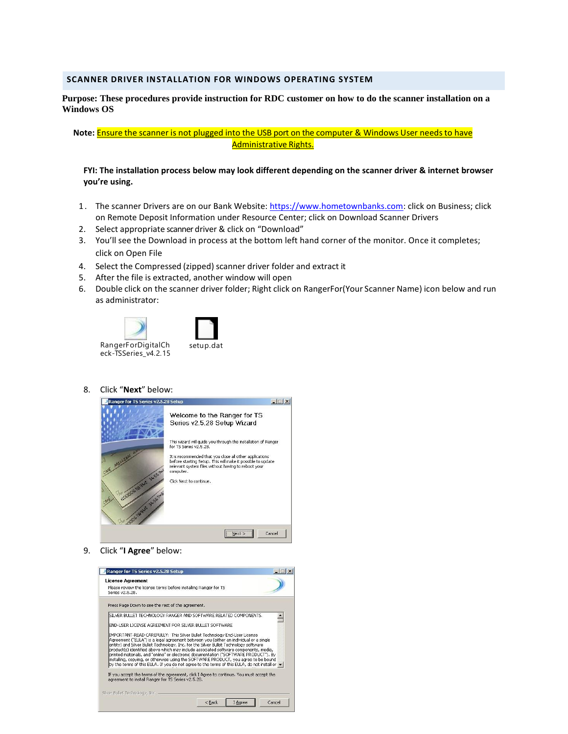# **SCANNER DRIVER INSTALLATION FOR WINDOWS OPERATING SYSTEM**

# **Purpose: These procedures provide instruction for RDC customer on how to do the scanner installation on a Windows OS**

Note: **Ensure the scanner is not plugged into the USB port on the computer & Windows User needs to have** Administrative Rights.

### **FYI: The installation process below may look different depending on the scanner driver & internet browser you're using.**

- 1. The scanner Drivers are on our Bank Website: [https://www.hometownbanks.com:](https://www.hometownbanks.com/) click on Business; click on Remote Deposit Information under Resource Center; click on Download Scanner Drivers
- 2. Select appropriate scanner driver & click on "Download"
- 3. You'll see the Download in process at the bottom left hand corner of the monitor. Once it completes; click on Open File
- 4. Select the Compressed (zipped) scanner driver folder and extract it
- 5. After the file is extracted, another window will open
- 6. Double click on the scanner driver folder; Right click on RangerFor(Your Scanner Name) icon below and run as administrator:



8. Click "**Next**" below:



9. Click "**I Agree**" below:

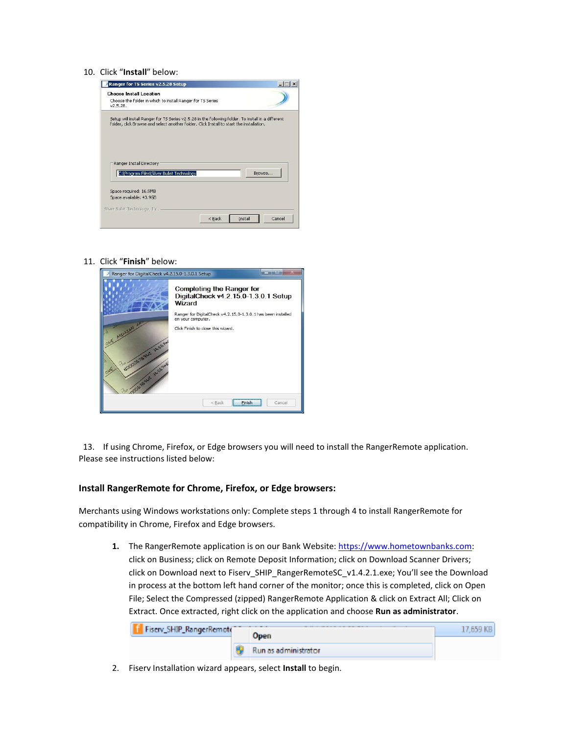#### 10. Click "**Install**" below:



11. Click "**Finish**" below:

| Ranger for DigitalCheck v4.2.15.0-1.3.0.1 Setup          |                                                                                                                                                                         |                  |
|----------------------------------------------------------|-------------------------------------------------------------------------------------------------------------------------------------------------------------------------|------------------|
|                                                          | <b>Completing the Ranger for</b><br>DigitalCheck v4.2.15.0-1.3.0.1 Setup<br>Wizard<br>Ranger for DigitalCheck v4.2.15.0-1.3.0.1 has been installed<br>on your computer. |                  |
| CODOGRAFI 3LSS 700<br>$S^{\alpha}$<br>10000 Blue 31567-8 | Click Finish to close this wizard.                                                                                                                                      |                  |
|                                                          | $<$ Back                                                                                                                                                                | Cancel<br>Finish |

 13. If using Chrome, Firefox, or Edge browsers you will need to install the RangerRemote application. Please see instructions listed below:

### **Install RangerRemote for Chrome, Firefox, or Edge browsers:**

Merchants using Windows workstations only: Complete steps 1 through 4 to install RangerRemote for compatibility in Chrome, Firefox and Edge browsers.

**1.** The RangerRemote application is on our Bank Website: https://www.hometownbanks.com: click on Business; click on Remote Deposit Information; click on Download Scanner Drivers; click on Download next to Fiserv\_SHIP\_RangerRemoteSC\_v1.4.2.1.exe; You'll see the Download in process at the bottom left hand corner of the monitor; once this is completed, click on Open File; Select the Compressed (zipped) RangerRemote Application & click on Extract All; Click on Extract. Once extracted, right click on the application and choose **Run as administrator**.



2. Fiserv Installation wizard appears, select **Install** to begin.